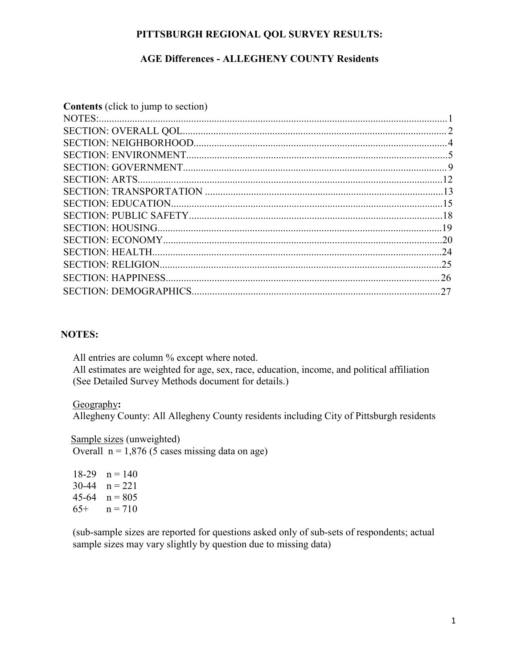### **PITTSBURGH REGIONAL QOL SURVEY RESULTS:**

### **AGE Differences - ALLEGHENY COUNTY Residents**

| <b>Contents</b> (click to jump to section) |    |
|--------------------------------------------|----|
|                                            |    |
|                                            |    |
|                                            |    |
|                                            |    |
|                                            |    |
|                                            |    |
|                                            |    |
|                                            |    |
|                                            |    |
|                                            |    |
|                                            |    |
|                                            | 24 |
|                                            | 25 |
|                                            |    |
|                                            |    |

#### **NOTES:**

All entries are column % except where noted. All estimates are weighted for age, sex, race, education, income, and political affiliation (See Detailed Survey Methods document for details.)

#### Geography**:**

Allegheny County: All Allegheny County residents including City of Pittsburgh residents

#### **Sample sizes (unweighted)**

Overall  $n = 1,876$  (5 cases missing data on age)

 $18-29$  n = 140 30-44  $n = 221$ 45-64  $n = 805$ 65+  $n = 710$ 

(sub-sample sizes are reported for questions asked only of sub-sets of respondents; actual sample sizes may vary slightly by question due to missing data)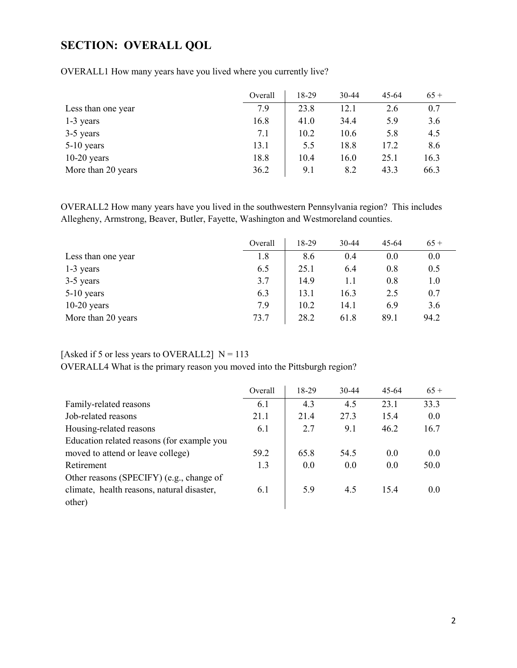## <span id="page-1-0"></span>**SECTION: OVERALL QOL**

|                    | Overall | 18-29 | $30-44$ | $45 - 64$ | $65+$ |
|--------------------|---------|-------|---------|-----------|-------|
| Less than one year | 7.9     | 23.8  | 12.1    | 2.6       | 0.7   |
| $1-3$ years        | 16.8    | 41.0  | 34.4    | 5.9       | 3.6   |
| 3-5 years          | 7.1     | 10.2  | 10.6    | 5.8       | 4.5   |
| $5-10$ years       | 13.1    | 5.5   | 18.8    | 17.2      | 8.6   |
| $10-20$ years      | 18.8    | 10.4  | 16.0    | 25.1      | 16.3  |
| More than 20 years | 36.2    | 9.1   | 8.2     | 43.3      | 66.3  |

OVERALL1 How many years have you lived where you currently live?

OVERALL2 How many years have you lived in the southwestern Pennsylvania region? This includes Allegheny, Armstrong, Beaver, Butler, Fayette, Washington and Westmoreland counties.

|                    | Overall | 18-29 | 30-44 | $45 - 64$ | $65+$ |
|--------------------|---------|-------|-------|-----------|-------|
| Less than one year | 1.8     | 8.6   | 0.4   | 0.0       | 0.0   |
| $1-3$ years        | 6.5     | 25.1  | 6.4   | 0.8       | 0.5   |
| 3-5 years          | 3.7     | 14.9  | 1.1   | 0.8       | 1.0   |
| $5-10$ years       | 6.3     | 13.1  | 16.3  | 2.5       | 0.7   |
| $10-20$ years      | 7.9     | 10.2  | 14.1  | 6.9       | 3.6   |
| More than 20 years | 73.7    | 28.2  | 61.8  | 89.1      | 94.2  |

### [Asked if 5 or less years to OVERALL2]  $N = 113$

OVERALL4 What is the primary reason you moved into the Pittsburgh region?

|                                            | Overall | 18-29 | $30-44$ | $45-64$ | $65+$ |
|--------------------------------------------|---------|-------|---------|---------|-------|
| Family-related reasons                     | 6.1     | 4.3   | 4.5     | 23.1    | 33.3  |
| Job-related reasons                        | 21.1    | 21.4  | 27.3    | 15.4    | 0.0   |
| Housing-related reasons                    | 6.1     | 2.7   | 9.1     | 46.2    | 16.7  |
| Education related reasons (for example you |         |       |         |         |       |
| moved to attend or leave college)          | 59.2    | 65.8  | 54.5    | 0.0     | 0.0   |
| Retirement                                 | 1.3     | 0.0   | 0.0     | 0.0     | 50.0  |
| Other reasons (SPECIFY) (e.g., change of   |         |       |         |         |       |
| climate, health reasons, natural disaster, | 6.1     | 5.9   | 4.5     | 15.4    | 0.0   |
| other)                                     |         |       |         |         |       |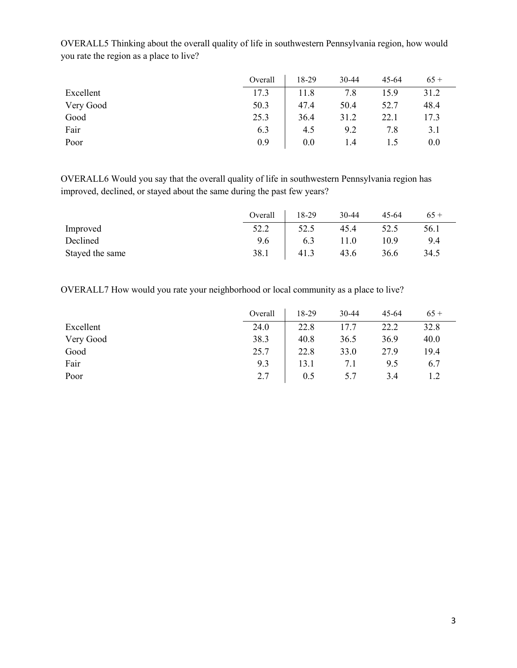|           | Overall | 18-29 | 30-44 | $45 - 64$ | $65+$ |
|-----------|---------|-------|-------|-----------|-------|
| Excellent | 17.3    | 11.8  | 7.8   | 15.9      | 31.2  |
| Very Good | 50.3    | 47.4  | 50.4  | 52.7      | 48.4  |
| Good      | 25.3    | 36.4  | 31.2  | 22.1      | 17.3  |
| Fair      | 6.3     | 4.5   | 9.2   | 7.8       | 3.1   |
| Poor      | 0.9     | 0.0   | 1.4   |           | 0.0   |

OVERALL5 Thinking about the overall quality of life in southwestern Pennsylvania region, how would you rate the region as a place to live?

OVERALL6 Would you say that the overall quality of life in southwestern Pennsylvania region has improved, declined, or stayed about the same during the past few years?

|                 | Overall | 18-29 | 30-44 | $45 - 64$ | $65+$ |
|-----------------|---------|-------|-------|-----------|-------|
| Improved        | 52.2    | 52.5  | 45.4  | 52.5      | 56.1  |
| Declined        | 9.6     | 6.3   | 11.0  | 10.9      | 9.4   |
| Stayed the same | 38.1    | 41.3  | 43.6  | 36.6      | 34.5  |

OVERALL7 How would you rate your neighborhood or local community as a place to live?

|           | Overall | 18-29 | 30-44 | $45 - 64$ | $65+$ |
|-----------|---------|-------|-------|-----------|-------|
| Excellent | 24.0    | 22.8  | 17.7  | 22.2      | 32.8  |
| Very Good | 38.3    | 40.8  | 36.5  | 36.9      | 40.0  |
| Good      | 25.7    | 22.8  | 33.0  | 27.9      | 19.4  |
| Fair      | 9.3     | 13.1  | 7.1   | 9.5       | 6.7   |
| Poor      | 2.7     | 0.5   | 5.7   | 3.4       |       |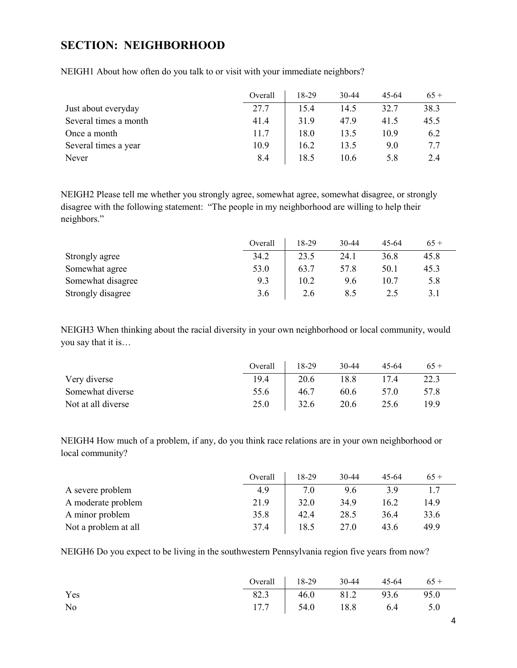## <span id="page-3-0"></span>**SECTION: NEIGHBORHOOD**

|                       | Overall | 18-29 | $30 - 44$ | 45-64 | $65+$ |
|-----------------------|---------|-------|-----------|-------|-------|
| Just about everyday   | 27.7    | 15.4  | 14.5      | 32.7  | 38.3  |
| Several times a month | 41.4    | 31.9  | 47.9      | 41.5  | 45.5  |
| Once a month          | 11.7    | 18.0  | 13.5      | 10.9  | 6.2   |
| Several times a year  | 10.9    | 16.2  | 13.5      | 9.0   | 7.7   |
| Never                 | 8.4     | 18.5  | 10.6      | 5.8   | 2.4   |

NEIGH1 About how often do you talk to or visit with your immediate neighbors?

NEIGH2 Please tell me whether you strongly agree, somewhat agree, somewhat disagree, or strongly disagree with the following statement: "The people in my neighborhood are willing to help their neighbors."

|                   | Overall | 18-29 | 30-44 | 45-64 | $65+$ |
|-------------------|---------|-------|-------|-------|-------|
| Strongly agree    | 34.2    | 23.5  | 24.1  | 36.8  | 45.8  |
| Somewhat agree    | 53.0    | 63.7  | 57.8  | 50.1  | 45.3  |
| Somewhat disagree | 9.3     | 10.2  | 9.6   | 10.7  | 5.8   |
| Strongly disagree | 3.6     | 2.6   | 8.5   |       | 3.1   |

NEIGH3 When thinking about the racial diversity in your own neighborhood or local community, would you say that it is…

|                    | Overall | 18-29 | $30 - 44$ | 45-64 | $65+$ |
|--------------------|---------|-------|-----------|-------|-------|
| Very diverse       | 19.4    | 20.6  | 18.8      | 17.4  | 22.3  |
| Somewhat diverse   | 55.6    | 46.7  | 60.6      | 57.0  | 57.8  |
| Not at all diverse | 25.0    | 32.6  | 20.6      | 25.6  | 19.9  |

NEIGH4 How much of a problem, if any, do you think race relations are in your own neighborhood or local community?

|                      | Overall | 18-29 | $30 - 44$ | 45-64 | $65+$ |
|----------------------|---------|-------|-----------|-------|-------|
| A severe problem     | 4.9     | 7.0   | 9.6       | 3.9   | 17    |
| A moderate problem   | 21.9    | 32.0  | 34.9      | 16.2  | 14.9  |
| A minor problem      | 35.8    | 42.4  | 28.5      | 36.4  | 33.6  |
| Not a problem at all | 37.4    | 18.5  | 27.0      | 43.6  | 49.9  |

NEIGH6 Do you expect to be living in the southwestern Pennsylvania region five years from now?

|     | Overall $18-29$ 30-44 45-64 65 + |  |  |
|-----|----------------------------------|--|--|
| Yes | 82.3 46.0 81.2 93.6 95.0         |  |  |
| No  | 17.7   54.0 18.8 6.4 5.0         |  |  |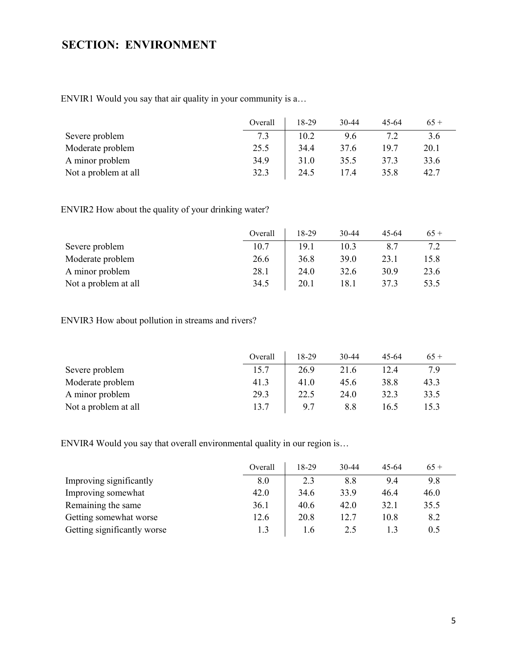# <span id="page-4-0"></span>**SECTION: ENVIRONMENT**

ENVIR1 Would you say that air quality in your community is a…

|                      | Overall | 18-29 | $30 - 44$ | 45-64 | $65+$ |
|----------------------|---------|-------|-----------|-------|-------|
| Severe problem       |         | 10.2  | 9.6       |       | 3.6   |
| Moderate problem     | 25.5    | 34.4  | 37.6      | 19.7  | 20.1  |
| A minor problem      | 34.9    | 31.0  | 35.5      | 37.3  | 33.6  |
| Not a problem at all | 32.3    | 24.5  | 17.4      | 35.8  | 42.7  |

ENVIR2 How about the quality of your drinking water?

|                      | Overall | 18-29 | $30 - 44$   | 45-64 | $65+$ |
|----------------------|---------|-------|-------------|-------|-------|
| Severe problem       | 10.7    | 19.1  | 10.3        |       |       |
| Moderate problem     | 26.6    | 36.8  | <b>39.0</b> | 23.1  | 15.8  |
| A minor problem      | 28.1    | 24.0  | 32.6        | 30.9  | 23.6  |
| Not a problem at all | 34.5    | 20.1  | 18.1        | 37.3  | 53.5  |

ENVIR3 How about pollution in streams and rivers?

|                      | Overall | 18-29 | $30 - 44$ | 45-64 | $65+$ |
|----------------------|---------|-------|-----------|-------|-------|
| Severe problem       | 15.7    | 26.9  | 21.6      | 12.4  | 7.9   |
| Moderate problem     | 41.3    | 41.0  | 45.6      | 38.8  | 43.3  |
| A minor problem      | 29.3    | 22.5  | 24.0      | 32.3  | 33.5  |
| Not a problem at all | 13.7    | 9.7   | 8.8       | 16.5  | l 5.3 |

ENVIR4 Would you say that overall environmental quality in our region is…

|                             | Overall | 18-29 | 30-44 | 45-64 | $65+$ |
|-----------------------------|---------|-------|-------|-------|-------|
| Improving significantly     | 8.0     | 2.3   | 8.8   | 9.4   | 9.8   |
| Improving somewhat          | 42.0    | 34.6  | 33.9  | 46.4  | 46.0  |
| Remaining the same          | 36.1    | 40.6  | 42.0  | 32.1  | 35.5  |
| Getting somewhat worse      | 12.6    | 20.8  | 12.7  | 10.8  | 8.2   |
| Getting significantly worse | 1.3     | 1.6   | 2.5   |       | 0.5   |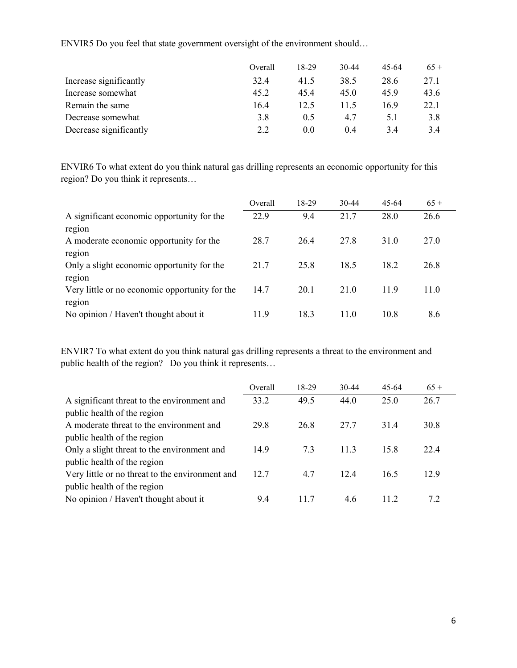|                        | Overall | 18-29 | $30-44$ | 45-64 | $65+$ |
|------------------------|---------|-------|---------|-------|-------|
| Increase significantly | 32.4    | 41.5  | 38.5    | 28.6  | 27.1  |
| Increase somewhat      | 45.2    | 45.4  | 45.0    | 45.9  | 43.6  |
| Remain the same        | 16.4    | 12.5  | 11.5    | 16.9  | 22.1  |
| Decrease somewhat      | 3.8     | 0.5   | 4.7     | 5.1   | 3.8   |
| Decrease significantly | 2.2     | 0.0   | 0.4     | 3.4   | 3.4   |

ENVIR5 Do you feel that state government oversight of the environment should…

ENVIR6 To what extent do you think natural gas drilling represents an economic opportunity for this region? Do you think it represents…

|                                                | Overall | 18-29 | 30-44 | $45 - 64$ | $65+$ |
|------------------------------------------------|---------|-------|-------|-----------|-------|
| A significant economic opportunity for the     | 22.9    | 9.4   | 21.7  | 28.0      | 26.6  |
| region                                         |         |       |       |           |       |
| A moderate economic opportunity for the        | 28.7    | 26.4  | 27.8  | 31.0      | 27.0  |
| region                                         |         |       |       |           |       |
| Only a slight economic opportunity for the     | 21.7    | 25.8  | 18.5  | 18.2      | 26.8  |
| region                                         |         |       |       |           |       |
| Very little or no economic opportunity for the | 14.7    | 20.1  | 21.0  | 11.9      | 11.0  |
| region                                         |         |       |       |           |       |
| No opinion / Haven't thought about it          | 11.9    | 18.3  | 11.0  | 10.8      | 8.6   |

ENVIR7 To what extent do you think natural gas drilling represents a threat to the environment and public health of the region? Do you think it represents…

|                                                 | Overall | 18-29 | $30-44$ | $45 - 64$ | $65+$ |
|-------------------------------------------------|---------|-------|---------|-----------|-------|
| A significant threat to the environment and     | 33.2    | 49.5  | 44.0    | 25.0      | 26.7  |
| public health of the region                     |         |       |         |           |       |
| A moderate threat to the environment and        | 29.8    | 26.8  | 27.7    | 31.4      | 30.8  |
| public health of the region                     |         |       |         |           |       |
| Only a slight threat to the environment and     | 14.9    | 7.3   | 11.3    | 15.8      | 22.4  |
| public health of the region                     |         |       |         |           |       |
| Very little or no threat to the environment and | 12.7    | 4.7   | 12.4    | 16.5      | 12.9  |
| public health of the region                     |         |       |         |           |       |
| No opinion / Haven't thought about it           | 9.4     | 11.7  | 4.6     | 11.2      | 7.2   |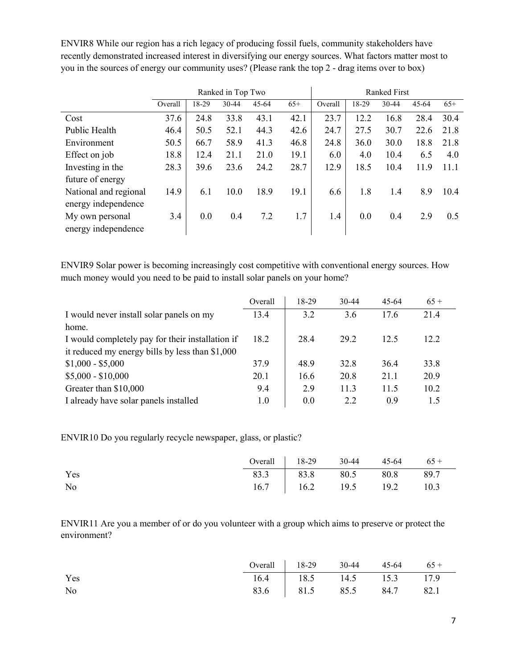ENVIR8 While our region has a rich legacy of producing fossil fuels, community stakeholders have recently demonstrated increased interest in diversifying our energy sources. What factors matter most to you in the sources of energy our community uses? (Please rank the top 2 - drag items over to box)

|                       |         | Ranked in Top Two |       |           |       |         |       | <b>Ranked First</b> |           |       |
|-----------------------|---------|-------------------|-------|-----------|-------|---------|-------|---------------------|-----------|-------|
|                       | Overall | 18-29             | 30-44 | $45 - 64$ | $65+$ | Overall | 18-29 | 30-44               | $45 - 64$ | $65+$ |
| Cost                  | 37.6    | 24.8              | 33.8  | 43.1      | 42.1  | 23.7    | 12.2  | 16.8                | 28.4      | 30.4  |
| Public Health         | 46.4    | 50.5              | 52.1  | 44.3      | 42.6  | 24.7    | 27.5  | 30.7                | 22.6      | 21.8  |
| Environment           | 50.5    | 66.7              | 58.9  | 41.3      | 46.8  | 24.8    | 36.0  | 30.0                | 18.8      | 21.8  |
| Effect on job         | 18.8    | 12.4              | 21.1  | 21.0      | 19.1  | 6.0     | 4.0   | 10.4                | 6.5       | 4.0   |
| Investing in the      | 28.3    | 39.6              | 23.6  | 24.2      | 28.7  | 12.9    | 18.5  | 10.4                | 11.9      | 11.1  |
| future of energy      |         |                   |       |           |       |         |       |                     |           |       |
| National and regional | 14.9    | 6.1               | 10.0  | 18.9      | 19.1  | 6.6     | 1.8   | 1.4                 | 8.9       | 10.4  |
| energy independence   |         |                   |       |           |       |         |       |                     |           |       |
| My own personal       | 3.4     | 0.0               | 0.4   | 7.2       | 1.7   | 1.4     | 0.0   | 0.4                 | 2.9       | 0.5   |
| energy independence   |         |                   |       |           |       |         |       |                     |           |       |

ENVIR9 Solar power is becoming increasingly cost competitive with conventional energy sources. How much money would you need to be paid to install solar panels on your home?

|                                                  | Overall | 18-29 | $30 - 44$ | $45-64$ | $65+$ |
|--------------------------------------------------|---------|-------|-----------|---------|-------|
| I would never install solar panels on my         | 13.4    | 3.2   | 3.6       | 17.6    | 21.4  |
| home.                                            |         |       |           |         |       |
| I would completely pay for their installation if | 18.2    | 28.4  | 29.2      | 12.5    | 12.2  |
| it reduced my energy bills by less than \$1,000  |         |       |           |         |       |
| $$1,000 - $5,000$                                | 37.9    | 48.9  | 32.8      | 36.4    | 33.8  |
| $$5,000 - $10,000$                               | 20.1    | 16.6  | 20.8      | 21.1    | 20.9  |
| Greater than \$10,000                            | 9.4     | 2.9   | 11.3      | 11.5    | 10.2  |
| I already have solar panels installed            | 1.0     | 0.0   | 2.2       | 0.9     | 1.5   |

ENVIR10 Do you regularly recycle newspaper, glass, or plastic?

|     | Overall   $18-29$ 30-44 45-64 65 +                                                           |  |  |
|-----|----------------------------------------------------------------------------------------------|--|--|
| Yes | $\begin{array}{ c c c c c c } \hline 83.3 & 83.8 & 80.5 & 80.8 & 89.7 \\ \hline \end{array}$ |  |  |
| No  | 16.7   16.2 19.5 19.2 10.3                                                                   |  |  |

ENVIR11 Are you a member of or do you volunteer with a group which aims to preserve or protect the environment?

|     | Overall $18-29$ 30-44 45-64 65 + |  |  |
|-----|----------------------------------|--|--|
| Yes | 16.4   18.5 14.5 15.3 17.9       |  |  |
| No  | 83.6   81.5 85.5 84.7 82.1       |  |  |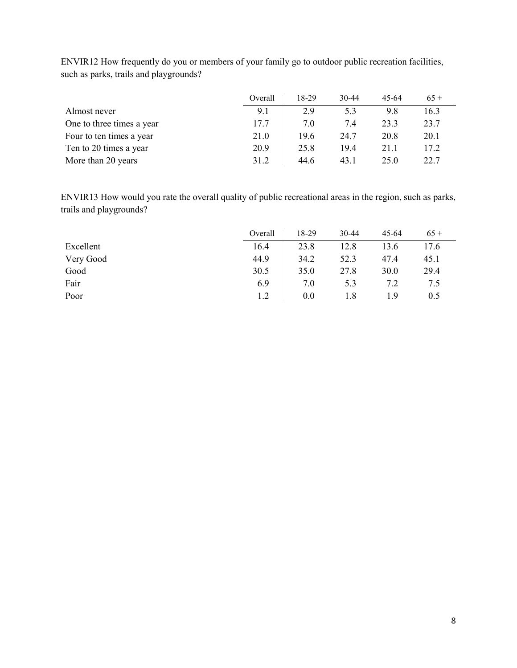|                           | Overall | 18-29 | $30 - 44$ | 45-64 | $65+$ |
|---------------------------|---------|-------|-----------|-------|-------|
| Almost never              | 9.1     | 2.9   | 5.3       | 9.8   | 16.3  |
| One to three times a year | 17.7    | 7.0   | 7.4       | 23.3  | 23.7  |
| Four to ten times a year  | 21.0    | 19.6  | 24.7      | 20.8  | 20.1  |
| Ten to 20 times a year    | 20.9    | 25.8  | 19.4      | 21.1  | 17.2  |
| More than 20 years        | 31.2    | 44.6  | 43.1      | 25.0  | 22.7  |

ENVIR12 How frequently do you or members of your family go to outdoor public recreation facilities, such as parks, trails and playgrounds?

ENVIR13 How would you rate the overall quality of public recreational areas in the region, such as parks, trails and playgrounds?

|           | Overall | $8-29$ | 30-44 | 45-64 | $65+$ |
|-----------|---------|--------|-------|-------|-------|
| Excellent | 16.4    | 23.8   | 12.8  | 13.6  | 17.6  |
| Very Good | 44.9    | 34.2   | 52.3  | 47.4  | 45.1  |
| Good      | 30.5    | 35.0   | 27.8  | 30.0  | 29.4  |
| Fair      | 6.9     | 7.0    | 5.3   | 7.2   | 7.5   |
| Poor      | 1.2     | 0.0    | 1.8   | 1.9   | 0.5   |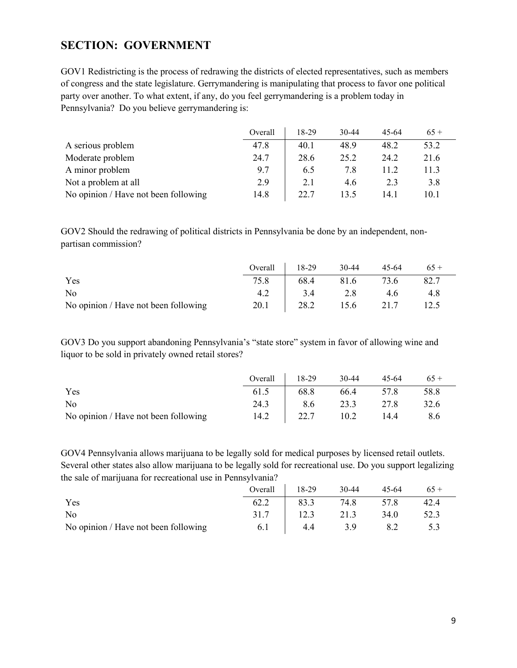## <span id="page-8-0"></span>**SECTION: GOVERNMENT**

GOV1 Redistricting is the process of redrawing the districts of elected representatives, such as members of congress and the state legislature. Gerrymandering is manipulating that process to favor one political party over another. To what extent, if any, do you feel gerrymandering is a problem today in Pennsylvania? Do you believe gerrymandering is:

|                                      | Overall | 18-29 | 30-44 | 45-64 | $65+$ |
|--------------------------------------|---------|-------|-------|-------|-------|
| A serious problem                    | 47.8    | 40.1  | 48.9  | 48.2  | 53.2  |
| Moderate problem                     | 24.7    | 28.6  | 25.2  | 24.2  | 21.6  |
| A minor problem                      | 9.7     | 6.5   | 7.8   | 11.2  | 11.3  |
| Not a problem at all                 | 2.9     | 2.1   | 4.6   | 2.3   | 3.8   |
| No opinion / Have not been following | 14.8    | 22.7  | 13.5  | 14.1  | 10.1  |

GOV2 Should the redrawing of political districts in Pennsylvania be done by an independent, nonpartisan commission?

|                                      | Overall | $18-29$ | 30-44 | 45-64 | $65+$ |
|--------------------------------------|---------|---------|-------|-------|-------|
| Yes                                  | 75.8    | 68.4    | 81.6  | 73.6  | 82.7  |
| No                                   |         | 3.4     | 2.8   | 4.6   | 4.8   |
| No opinion / Have not been following | 20.1    | 28.2    | 15.6  | 21.7  | 12.5  |

GOV3 Do you support abandoning Pennsylvania's "state store" system in favor of allowing wine and liquor to be sold in privately owned retail stores?

|                                      | Overall 18-29 |      | 30-44          | 45-64 | $65+$ |
|--------------------------------------|---------------|------|----------------|-------|-------|
| Yes                                  | 61.5          |      | 68.8 66.4 57.8 |       | 58.8  |
| N <sub>o</sub>                       | 24.3          |      | 8.6 23.3 27.8  |       | 32.6  |
| No opinion / Have not been following | 14.2          | 22.7 | 10.2           | 14.4  | 8.6   |

GOV4 Pennsylvania allows marijuana to be legally sold for medical purposes by licensed retail outlets. Several other states also allow marijuana to be legally sold for recreational use. Do you support legalizing the sale of marijuana for recreational use in Pennsylvania?

|                                      | Overall | $18-29$ | 30-44 | 45-64 |      |
|--------------------------------------|---------|---------|-------|-------|------|
| Yes                                  | 62.2    | 83.3    | 74.8  | 57.8  | 42.4 |
| No                                   | 31.7    | 12.3    | 21.3  | 34.0  | 52.3 |
| No opinion / Have not been following | 6.1     | 4.4     | 3.9   |       |      |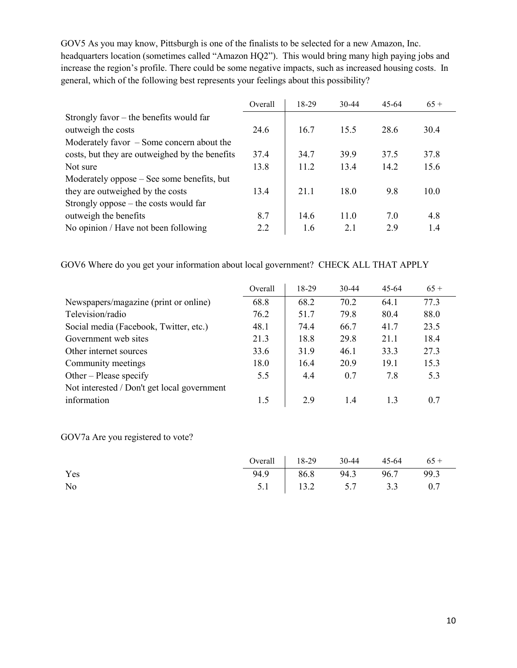GOV5 As you may know, Pittsburgh is one of the finalists to be selected for a new Amazon, Inc. headquarters location (sometimes called "Amazon HQ2"). This would bring many high paying jobs and increase the region's profile. There could be some negative impacts, such as increased housing costs. In general, which of the following best represents your feelings about this possibility?

|                                                | Overall | 18-29 | $30 - 44$ | 45-64 | $65+$ |
|------------------------------------------------|---------|-------|-----------|-------|-------|
| Strongly favor $-$ the benefits would far      |         |       |           |       |       |
| outweigh the costs                             | 24.6    | 16.7  | 15.5      | 28.6  | 30.4  |
| Moderately favor $-$ Some concern about the    |         |       |           |       |       |
| costs, but they are outweighed by the benefits | 37.4    | 34.7  | 39.9      | 37.5  | 37.8  |
| Not sure                                       | 13.8    | 11.2  | 13.4      | 14.2  | 15.6  |
| Moderately oppose – See some benefits, but     |         |       |           |       |       |
| they are outweighed by the costs               | 13.4    | 21.1  | 18.0      | 9.8   | 10.0  |
| Strongly oppose $-$ the costs would far        |         |       |           |       |       |
| outweigh the benefits                          | 8.7     | 14.6  | 11.0      | 7.0   | 4.8   |
| No opinion / Have not been following           | 2.2     | 1.6   | 2.1       | 2.9   | 1.4   |

GOV6 Where do you get your information about local government? CHECK ALL THAT APPLY

|                                             | Overall | 18-29 | $30-44$ | $45-64$ | $65+$ |
|---------------------------------------------|---------|-------|---------|---------|-------|
| Newspapers/magazine (print or online)       | 68.8    | 68.2  | 70.2    | 64.1    | 77.3  |
| Television/radio                            | 76.2    | 51.7  | 79.8    | 80.4    | 88.0  |
| Social media (Facebook, Twitter, etc.)      | 48.1    | 74.4  | 66.7    | 41.7    | 23.5  |
| Government web sites                        | 21.3    | 18.8  | 29.8    | 21.1    | 18.4  |
| Other internet sources                      | 33.6    | 31.9  | 46.1    | 33.3    | 27.3  |
| Community meetings                          | 18.0    | 16.4  | 20.9    | 19.1    | 15.3  |
| Other – Please specify                      | 5.5     | 4.4   | 0.7     | 7.8     | 5.3   |
| Not interested / Don't get local government |         |       |         |         |       |
| information                                 | 1.5     | 2.9   | 1.4     | 1.3     | 0.7   |

GOV7a Are you registered to vote?

|     | Overall $18-29$ 30-44 45-64 65 + |  |  |
|-----|----------------------------------|--|--|
| Yes | 94.9 86.8 94.3 96.7 99.3         |  |  |
| No  | $5.1$   13.2 $5.7$ 3.3 0.7       |  |  |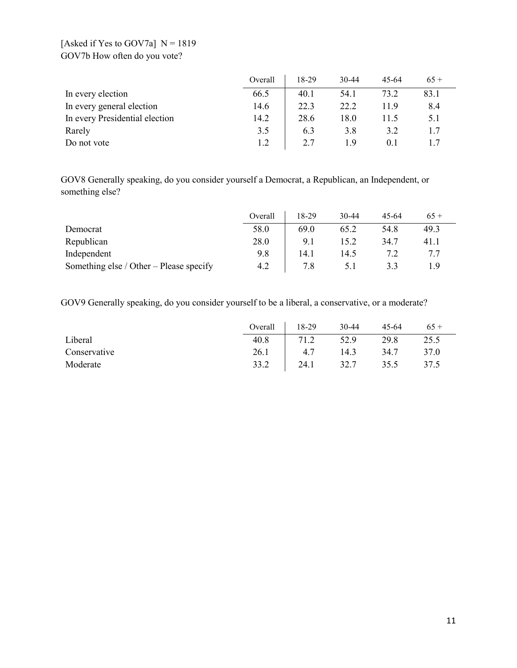## [Asked if Yes to GOV7a]  $N = 1819$ GOV7b How often do you vote?

|                                | Overall | 18-29 | $30 - 44$ | 45-64 | $65+$ |
|--------------------------------|---------|-------|-----------|-------|-------|
| In every election              | 66.5    | 40.1  | 54.1      | 73.2  | 83.1  |
| In every general election      | 14.6    | 22.3  | 22.2      | 11.9  | 8.4   |
| In every Presidential election | 14.2    | 28.6  | 18.0      | 11.5  | 5.1   |
| Rarely                         | 3.5     | 6.3   | 3.8       | 3.2   | 1.7   |
| Do not vote                    | 1.2     | 2.7   | 19        | 0.1   |       |

GOV8 Generally speaking, do you consider yourself a Democrat, a Republican, an Independent, or something else?

|                                         | Overall | 18-29 | 30-44 | 45-64 | $65+$ |
|-----------------------------------------|---------|-------|-------|-------|-------|
| Democrat                                | 58.0    | 69.0  | 65.2  | 54.8  | 49.3  |
| Republican                              | 28.0    | 9.1   | 15.2  | 34.7  | 41.1  |
| Independent                             | 9.8     | 14.1  | 14.5  |       |       |
| Something else / Other – Please specify | 4.2     | 7.8   |       | 33    |       |

GOV9 Generally speaking, do you consider yourself to be a liberal, a conservative, or a moderate?

|              | Overall | 18-29 | 30-44 | 45-64 | $65+$ |
|--------------|---------|-------|-------|-------|-------|
| Liberal      | 40.8    | 71.2  | 52.9  | 29.8  | 25.5  |
| Conservative | 26.1    | 4.7   | 14.3  | 34.7  | 37.0  |
| Moderate     | 33.2    | 24.1  | 32.7  | 35.5  | 37.5  |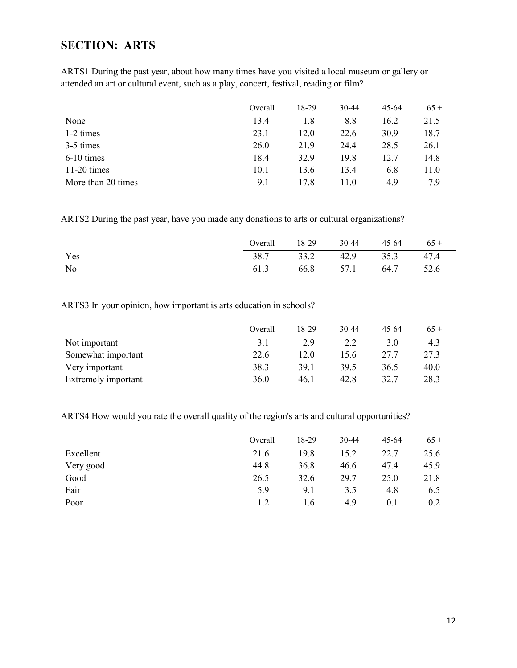## <span id="page-11-0"></span>**SECTION: ARTS**

ARTS1 During the past year, about how many times have you visited a local museum or gallery or attended an art or cultural event, such as a play, concert, festival, reading or film?

|                    | Overall | 18-29 | $30-44$ | $45 - 64$ | $65+$ |
|--------------------|---------|-------|---------|-----------|-------|
| None               | 13.4    | 1.8   | 8.8     | 16.2      | 21.5  |
| 1-2 times          | 23.1    | 12.0  | 22.6    | 30.9      | 18.7  |
| 3-5 times          | 26.0    | 21.9  | 24.4    | 28.5      | 26.1  |
| $6-10$ times       | 18.4    | 32.9  | 19.8    | 12.7      | 14.8  |
| $11-20$ times      | 10.1    | 13.6  | 13.4    | 6.8       | 11.0  |
| More than 20 times | 9.1     | 17.8  | 11.0    | 4.9       | 7.9   |

ARTS2 During the past year, have you made any donations to arts or cultural organizations?

|     | Overall $\begin{array}{ c c c c c } \hline 18-29 & 30-44 & 45-64 & 65+1 \ \hline \end{array}$ |  |  |
|-----|-----------------------------------------------------------------------------------------------|--|--|
| Yes | 38.7   33.2 42.9 35.3 47.4                                                                    |  |  |
| No  | 61.3 66.8 57.1 64.7 52.6                                                                      |  |  |

ARTS3 In your opinion, how important is arts education in schools?

|                     | Overall | 18-29 | $30 - 44$ | 45-64 | $65+$ |
|---------------------|---------|-------|-----------|-------|-------|
| Not important       | 3.1     | 2.9   |           | 3.0   | 4.3   |
| Somewhat important  | 22.6    | 12.0  | 15.6      | 27.7  | 27.3  |
| Very important      | 38.3    | 39.1  | 39.5      | 36.5  | 40.0  |
| Extremely important | 36.0    | 46.1  | 42.8      | 32.7  | 28.3  |

ARTS4 How would you rate the overall quality of the region's arts and cultural opportunities?

|           | Overall | 18-29 | 30-44 | $45 - 64$ | $65+$ |
|-----------|---------|-------|-------|-----------|-------|
| Excellent | 21.6    | 19.8  | 15.2  | 22.7      | 25.6  |
| Very good | 44.8    | 36.8  | 46.6  | 47.4      | 45.9  |
| Good      | 26.5    | 32.6  | 29.7  | 25.0      | 21.8  |
| Fair      | 5.9     | 9.1   | 3.5   | 4.8       | 6.5   |
| Poor      | 1.2     | 1.6   | 4.9   | $0.1\,$   | 0.2   |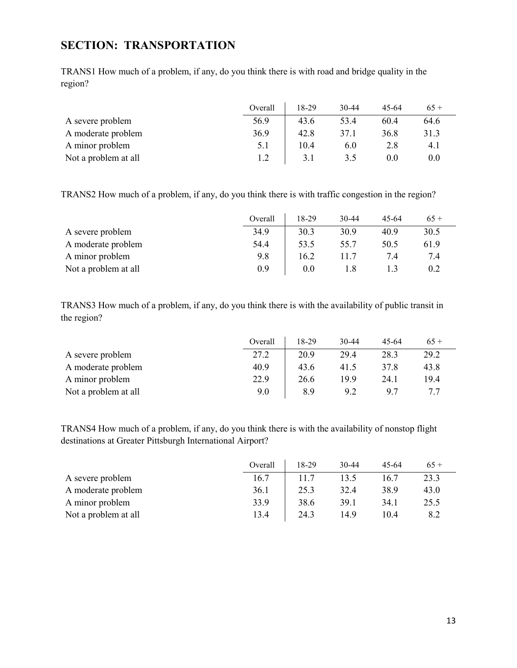## <span id="page-12-0"></span>**SECTION: TRANSPORTATION**

TRANS1 How much of a problem, if any, do you think there is with road and bridge quality in the region?

|                      | Overall | 18-29 | $30-44$ | 45-64 | $65+$ |
|----------------------|---------|-------|---------|-------|-------|
| A severe problem     | 56.9    | 43.6  | 53.4    | 60.4  | 64.6  |
| A moderate problem   | 36.9    | 42.8  | 37.1    | 36.8  | 31.3  |
| A minor problem      | 5.1     | 10.4  | 6.0     | 2.8   | 4.1   |
| Not a problem at all | 1.2     | 3.1   | 3.5     | 0.0   | 0.0   |

TRANS2 How much of a problem, if any, do you think there is with traffic congestion in the region?

|                      | Overall | 18-29 | 30-44 | 45-64 | $65+$ |
|----------------------|---------|-------|-------|-------|-------|
| A severe problem     | 34.9    | 30.3  | 30.9  | 40.9  | 30.5  |
| A moderate problem   | 54.4    | 53.5  | 55.7  | 50.5  | 61.9  |
| A minor problem      | 9.8     | 16.2  | 11.7  | 7.4   | 7.4   |
| Not a problem at all | 0.9     | 0.0   |       |       | 0.2   |

TRANS3 How much of a problem, if any, do you think there is with the availability of public transit in the region?

|                      | Overall | 18-29 | $30 - 44$ | 45-64 | $65+$ |
|----------------------|---------|-------|-----------|-------|-------|
| A severe problem     | 27.2    | 20.9  | 29.4      | 28.3  | 29.2  |
| A moderate problem   | 40.9    | 43.6  | 41.5      | 37.8  | 43.8  |
| A minor problem      | 22.9    | 26.6  | 19.9      | 24.1  | 19.4  |
| Not a problem at all | 9.0     | 8.9   | 9.2       | 9.7   |       |

TRANS4 How much of a problem, if any, do you think there is with the availability of nonstop flight destinations at Greater Pittsburgh International Airport?

|                      | Overall | 18-29 | 30-44 | 45-64 | $65+$ |
|----------------------|---------|-------|-------|-------|-------|
| A severe problem     | 16.7    | 11.7  | 13.5  | 16.7  | 23.3  |
| A moderate problem   | 36.1    | 25.3  | 32.4  | 38.9  | 43.0  |
| A minor problem      | 33.9    | 38.6  | 39.1  | 34.1  | 25.5  |
| Not a problem at all | 13.4    | 24.3  | 14.9  | 10.4  | 8.2   |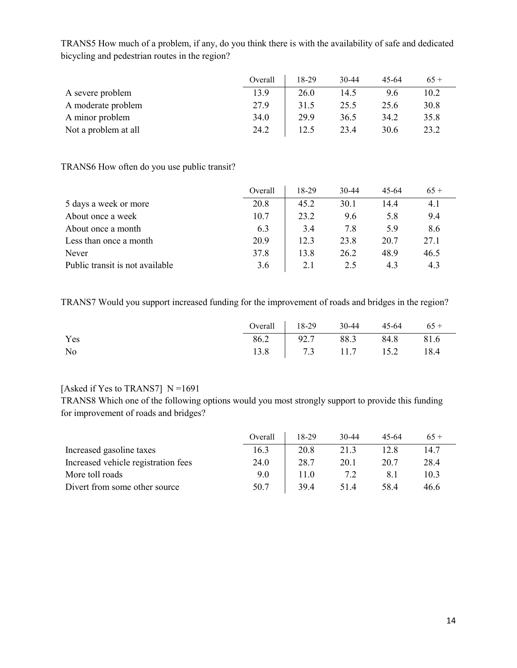|                      | Overall | 18-29 | $30-44$ | 45-64 | $65+$ |
|----------------------|---------|-------|---------|-------|-------|
| A severe problem     | 13.9    | 26.0  | 14.5    | 9.6   | 10.2  |
| A moderate problem   | 27.9    | 31.5  | 25.5    | 25.6  | 30.8  |
| A minor problem      | 34.0    | 29.9  | 36.5    | 34.2  | 35.8  |
| Not a problem at all | 24.2    | 12.5  | 23.4    | 30.6  | 23.2  |

TRANS5 How much of a problem, if any, do you think there is with the availability of safe and dedicated bicycling and pedestrian routes in the region?

#### TRANS6 How often do you use public transit?

|                                 | Overall | 18-29 | $30 - 44$ | $45 - 64$ | $65+$ |
|---------------------------------|---------|-------|-----------|-----------|-------|
| 5 days a week or more           | 20.8    | 45.2  | 30.1      | 14.4      | 4.1   |
| About once a week               | 10.7    | 23.2  | 9.6       | 5.8       | 9.4   |
| About once a month              | 6.3     | 3.4   | 7.8       | 5.9       | 8.6   |
| Less than once a month          | 20.9    | 12.3  | 23.8      | 20.7      | 27.1  |
| Never                           | 37.8    | 13.8  | 26.2      | 48.9      | 46.5  |
| Public transit is not available | 3.6     | 2.1   | 2.5       | 4.3       | 4.3   |

TRANS7 Would you support increased funding for the improvement of roads and bridges in the region?

|     | Overall $18-29$ 30-44 45-64 65 + |  |  |
|-----|----------------------------------|--|--|
| Yes | 86.2 92.7 88.3 84.8 81.6         |  |  |
| No  | 13.8 7.3 11.7 15.2 18.4          |  |  |

### [Asked if Yes to TRANS7]  $N = 1691$

TRANS8 Which one of the following options would you most strongly support to provide this funding for improvement of roads and bridges?

|                                     | Overall | 18-29 | $30 - 44$ | 45-64 | $65+$ |
|-------------------------------------|---------|-------|-----------|-------|-------|
| Increased gasoline taxes            | 16.3    | 20.8  | 21.3      | 12.8  | 14.7  |
| Increased vehicle registration fees | 24.0    | 28.7  | 20.1      | 20.7  | 28.4  |
| More toll roads                     | 9.0     | 11.0  | 7.2       | 8.1   | 10.3  |
| Divert from some other source       | 50.7    | 39.4  | 51.4      | 58.4  | 46.6  |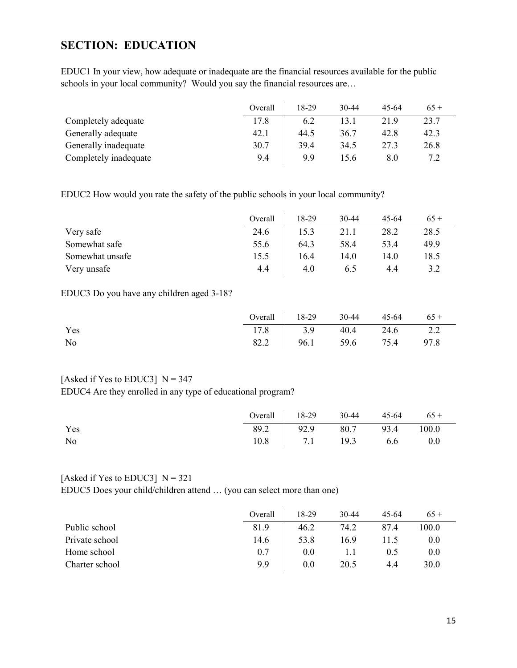## <span id="page-14-0"></span>**SECTION: EDUCATION**

EDUC1 In your view, how adequate or inadequate are the financial resources available for the public schools in your local community? Would you say the financial resources are...

|                       | Overall | 18-29 | $30 - 44$ | 45-64 | $65+$ |
|-----------------------|---------|-------|-----------|-------|-------|
| Completely adequate   | 17.8    | 6.2   | 13.1      | 21.9  | 23.7  |
| Generally adequate    | 42.1    | 44.5  | 36.7      | 42.8  | 42.3  |
| Generally inadequate  | 30.7    | 39.4  | 34.5      | 27.3  | 26.8  |
| Completely inadequate | 9.4     | 9.9   | 15.6      | 8.0   |       |

EDUC2 How would you rate the safety of the public schools in your local community?

|                 | Overall | 18-29 | 30-44 | 45-64 | $65+$ |
|-----------------|---------|-------|-------|-------|-------|
| Very safe       | 24.6    | 15.3  | 21.1  | 28.2  | 28.5  |
| Somewhat safe   | 55.6    | 64.3  | 58.4  | 53.4  | 49.9  |
| Somewhat unsafe | 15.5    | 16.4  | 14.0  | 14.0  | 18.5  |
| Very unsafe     | 4.4     | 4.0   | 6.5   | 4.4   | 3.2   |

EDUC3 Do you have any children aged 3-18?

|     | Overall $18-29$ 30-44 45-64 65 + |  |  |
|-----|----------------------------------|--|--|
| Yes | $17.8$   3.9 $40.4$ 24.6 2.2     |  |  |
| No  | 82.2   96.1 59.6 75.4 97.8       |  |  |

#### [Asked if Yes to EDUC3]  $N = 347$

EDUC4 Are they enrolled in any type of educational program?

|     | Overall 18-29 30-44 45-64 $65 +$ |  |  |
|-----|----------------------------------|--|--|
| Yes | 89.2   92.9 80.7 93.4 100.0      |  |  |
| No  | $10.8$   7.1 19.3 6.6 0.0        |  |  |

#### [Asked if Yes to EDUC3]  $N = 321$

EDUC5 Does your child/children attend … (you can select more than one)

|                | Overall | 18-29 | 30-44 | 45-64 | $65+$ |
|----------------|---------|-------|-------|-------|-------|
| Public school  | 81.9    | 46.2  | 74.2  | 87.4  | 100.0 |
| Private school | 14.6    | 53.8  | 16.9  | 11.5  | 0.0   |
| Home school    | 0.7     | 0.0   |       | 0.5   | 0.0   |
| Charter school | 9.9     | 0.0   | 20.5  | 4.4   | 30.0  |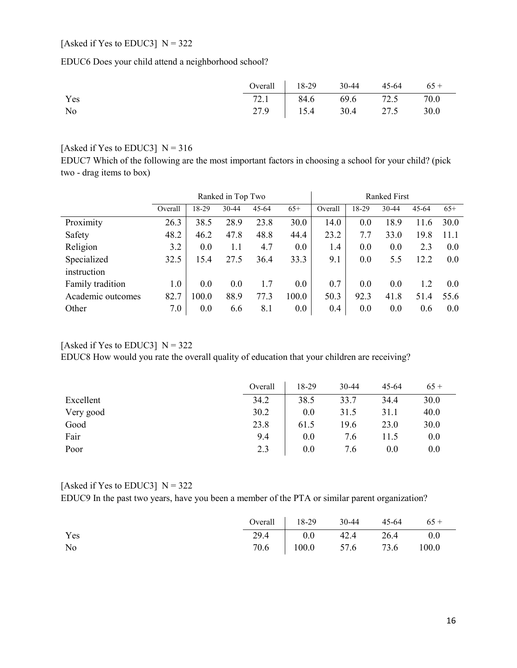## [Asked if Yes to EDUC3]  $N = 322$

EDUC6 Does your child attend a neighborhood school?

|     | Overall $18-29$ 30-44 45-64 65 + |  |  |
|-----|----------------------------------|--|--|
| Yes | 72.1 84.6 69.6 72.5 70.0         |  |  |
| No  | 27.9 15.4 30.4 27.5 30.0         |  |  |

#### [Asked if Yes to EDUC3]  $N = 316$

EDUC7 Which of the following are the most important factors in choosing a school for your child? (pick two - drag items to box)

|                   |         |       | Ranked in Top Two |           |       |         | <b>Ranked First</b> |           |           |       |
|-------------------|---------|-------|-------------------|-----------|-------|---------|---------------------|-----------|-----------|-------|
|                   | Overall | 18-29 | $30 - 44$         | $45 - 64$ | $65+$ | Overall | 18-29               | $30 - 44$ | $45 - 64$ | $65+$ |
| Proximity         | 26.3    | 38.5  | 28.9              | 23.8      | 30.0  | 14.0    | 0.0                 | 18.9      | 11.6      | 30.0  |
| Safety            | 48.2    | 46.2  | 47.8              | 48.8      | 44.4  | 23.2    | 7.7                 | 33.0      | 19.8      | 11.1  |
| Religion          | 3.2     | 0.0   | 1.1               | 4.7       | 0.0   | 1.4     | 0.0                 | 0.0       | 2.3       | 0.0   |
| Specialized       | 32.5    | 15.4  | 27.5              | 36.4      | 33.3  | 9.1     | 0.0                 | 5.5       | 12.2      | 0.0   |
| instruction       |         |       |                   |           |       |         |                     |           |           |       |
| Family tradition  | 1.0     | 0.0   | 0.0               | 1.7       | 0.0   | 0.7     | 0.0                 | 0.0       | 1.2       | 0.0   |
| Academic outcomes | 82.7    | 100.0 | 88.9              | 77.3      | 100.0 | 50.3    | 92.3                | 41.8      | 51.4      | 55.6  |
| Other             | 7.0     | 0.0   | 6.6               | 8.1       | 0.0   | 0.4     | 0.0                 | 0.0       | 0.6       | 0.0   |

#### [Asked if Yes to EDUC3]  $N = 322$

EDUC8 How would you rate the overall quality of education that your children are receiving?

|           | Overall | 18-29 | 30-44 | $45 - 64$ | $65+$ |
|-----------|---------|-------|-------|-----------|-------|
| Excellent | 34.2    | 38.5  | 33.7  | 34.4      | 30.0  |
| Very good | 30.2    | 0.0   | 31.5  | 31.1      | 40.0  |
| Good      | 23.8    | 61.5  | 19.6  | 23.0      | 30.0  |
| Fair      | 9.4     | 0.0   | 7.6   | 11.5      | 0.0   |
| Poor      | 2.3     | 0.0   | 7.6   | 0.0       | 0.0   |

### [Asked if Yes to EDUC3]  $N = 322$

EDUC9 In the past two years, have you been a member of the PTA or similar parent organization?

|     | Overall $18-29$ 30-44 45-64 65 + |  |  |
|-----|----------------------------------|--|--|
| Yes | 29.4 0.0 42.4 26.4 0.0           |  |  |
| No  | 70.6   100.0 57.6 73.6 100.0     |  |  |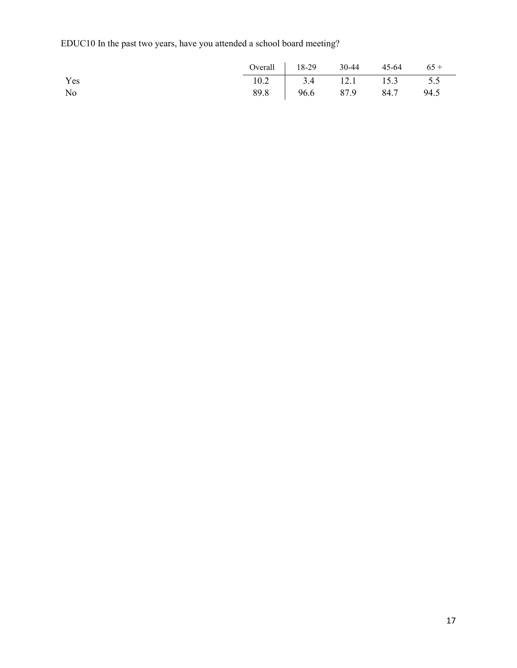EDUC10 In the past two years, have you attended a school board meeting?

|     | Overall   $18-29$ 30-44 45-64 65 + |  |  |
|-----|------------------------------------|--|--|
| Yes | $10.2$   3.4 12.1 15.3 5.5         |  |  |
| No  | 89.8 96.6 87.9 84.7 94.5           |  |  |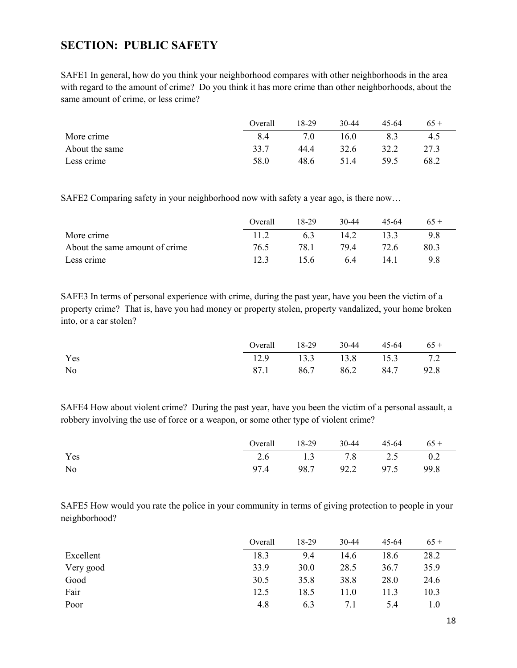## <span id="page-17-0"></span>**SECTION: PUBLIC SAFETY**

SAFE1 In general, how do you think your neighborhood compares with other neighborhoods in the area with regard to the amount of crime? Do you think it has more crime than other neighborhoods, about the same amount of crime, or less crime?

|                | Overall | 18-29 | 30-44 | $45 - 64$ | $65+$ |
|----------------|---------|-------|-------|-----------|-------|
| More crime     | 8.4     | 7.0   | 16.0  | 8.3       | 4.5   |
| About the same | 33.7    | 44.4  | 32.6  | 32.2      | 27.3  |
| Less crime     | 58.0    | 48.6  | 51.4  | 59.5      | 68.2  |

SAFE2 Comparing safety in your neighborhood now with safety a year ago, is there now…

|                                | Overall | 18-29 | $30-44$ | 45-64 |      |
|--------------------------------|---------|-------|---------|-------|------|
| More crime                     |         | 6.3   | 14.2    |       | 9.8  |
| About the same amount of crime | 76.5    | 78.1  | 79.4    | 72.6  | 80.3 |
| Less crime                     |         | 15.6  | 6.4     | 14.1  | 9.8  |

SAFE3 In terms of personal experience with crime, during the past year, have you been the victim of a property crime? That is, have you had money or property stolen, property vandalized, your home broken into, or a car stolen?

|     | Overall   $18-29$ 30-44 45-64 65 + |  |  |
|-----|------------------------------------|--|--|
| Yes | 12.9   13.3 13.8 15.3 7.2          |  |  |
| No  | 87.1 86.7 86.2 84.7 92.8           |  |  |

SAFE4 How about violent crime? During the past year, have you been the victim of a personal assault, a robbery involving the use of force or a weapon, or some other type of violent crime?

|                | Overall $18-29$ 30-44 45-64 65 + |  |  |
|----------------|----------------------------------|--|--|
| Yes            | 2.6 1.3 7.8 2.5 0.2              |  |  |
| N <sub>0</sub> | 97.4 98.7 92.2 97.5 99.8         |  |  |

SAFE5 How would you rate the police in your community in terms of giving protection to people in your neighborhood?

|           | Overall | 18-29 | 30-44 | 45-64 | $65+$ |
|-----------|---------|-------|-------|-------|-------|
| Excellent | 18.3    | 9.4   | 14.6  | 18.6  | 28.2  |
| Very good | 33.9    | 30.0  | 28.5  | 36.7  | 35.9  |
| Good      | 30.5    | 35.8  | 38.8  | 28.0  | 24.6  |
| Fair      | 12.5    | 18.5  | 11.0  | 11.3  | 10.3  |
| Poor      | 4.8     | 6.3   | 7.1   | 5.4   | 1.0   |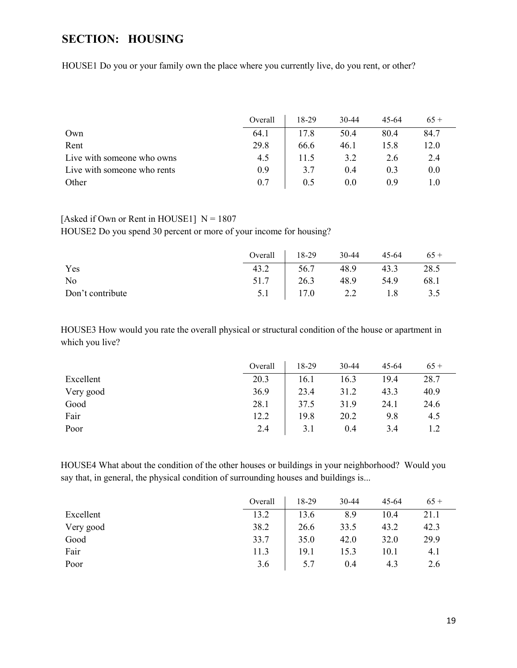# <span id="page-18-0"></span>**SECTION: HOUSING**

HOUSE1 Do you or your family own the place where you currently live, do you rent, or other?

|                             | Overall | 18-29 | 30-44 | 45-64 | $65+$ |
|-----------------------------|---------|-------|-------|-------|-------|
| Own                         | 64.1    | 17.8  | 50.4  | 80.4  | 84.7  |
| Rent                        | 29.8    | 66.6  | 46.1  | 15.8  | 12.0  |
| Live with someone who owns  | 4.5     | 11.5  | 3.2   | 2.6   | 2.4   |
| Live with someone who rents | 0.9     | 3.7   | 0.4   | 0.3   | 0.0   |
| Other                       | 0.7     | 0.5   | 0.0   | 0.9   |       |

## [Asked if Own or Rent in HOUSE1]  $N = 1807$

HOUSE2 Do you spend 30 percent or more of your income for housing?

|                  | Overall 18-29 |                    | 30-44     | $45 - 64$ | $65+$ |
|------------------|---------------|--------------------|-----------|-----------|-------|
| Yes              | 43.2          | $\frac{56.7}{2}$   | 48.9      | 43.3      | 28.5  |
| No               |               | 51.7 26.3          | 48.9 54.9 |           | 68.1  |
| Don't contribute |               | 5.1   17.0 2.2 1.8 |           |           | 3.5   |

HOUSE3 How would you rate the overall physical or structural condition of the house or apartment in which you live?

|           | Overall | 18-29 | 30-44 | $45-64$ | $65+$ |
|-----------|---------|-------|-------|---------|-------|
| Excellent | 20.3    | 16.1  | 16.3  | 19.4    | 28.7  |
| Very good | 36.9    | 23.4  | 31.2  | 43.3    | 40.9  |
| Good      | 28.1    | 37.5  | 31.9  | 24.1    | 24.6  |
| Fair      | 12.2    | 19.8  | 20.2  | 9.8     | 4.5   |
| Poor      | 2.4     | 3.1   | 0.4   | 3.4     |       |

HOUSE4 What about the condition of the other houses or buildings in your neighborhood? Would you say that, in general, the physical condition of surrounding houses and buildings is...

|           | Overall | 18-29 | 30-44 | 45-64 | $65+$ |
|-----------|---------|-------|-------|-------|-------|
| Excellent | 13.2    | 13.6  | 8.9   | 10.4  | 21.1  |
| Very good | 38.2    | 26.6  | 33.5  | 43.2  | 42.3  |
| Good      | 33.7    | 35.0  | 42.0  | 32.0  | 29.9  |
| Fair      | 11.3    | 19.1  | 15.3  | 10.1  | 4.1   |
| Poor      | 3.6     | 5.7   | 0.4   | 4.3   | 2.6   |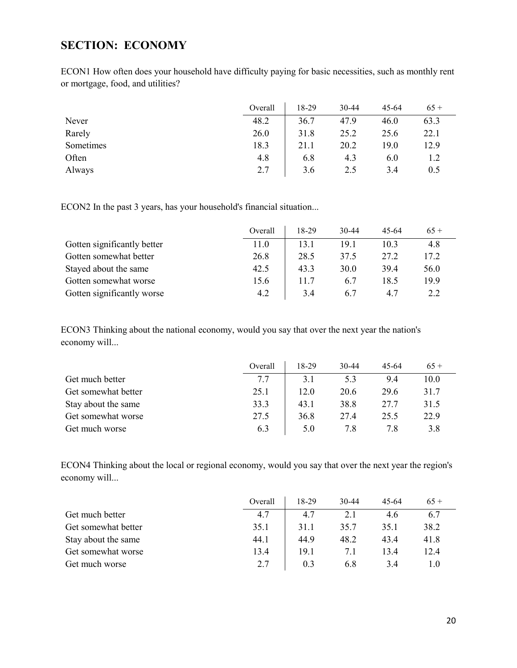## <span id="page-19-0"></span>**SECTION: ECONOMY**

ECON1 How often does your household have difficulty paying for basic necessities, such as monthly rent or mortgage, food, and utilities?

|           | Overall | 18-29 | $30-44$ | $45 - 64$ | $65+$ |
|-----------|---------|-------|---------|-----------|-------|
| Never     | 48.2    | 36.7  | 47.9    | 46.0      | 63.3  |
| Rarely    | 26.0    | 31.8  | 25.2    | 25.6      | 22.1  |
| Sometimes | 18.3    | 21.1  | 20.2    | 19.0      | 12.9  |
| Often     | 4.8     | 6.8   | 4.3     | 6.0       |       |
| Always    | 2.7     | 3.6   | 2.5     | 3.4       | 0.5   |

ECON2 In the past 3 years, has your household's financial situation...

|                             | Overall | 18-29 | $30 - 44$ | 45-64 | $65+$ |
|-----------------------------|---------|-------|-----------|-------|-------|
| Gotten significantly better | 11.0    | 13.1  | 19.1      | 10.3  | 4.8   |
| Gotten somewhat better      | 26.8    | 28.5  | 37.5      | 27.2  | 17.2  |
| Stayed about the same       | 42.5    | 43.3  | 30.0      | 39.4  | 56.0  |
| Gotten somewhat worse       | 15.6    | 11.7  | 6.7       | 18.5  | 19.9  |
| Gotten significantly worse  | 4.2     | 3.4   | 6.7       | 4.7   | 2.2   |

ECON3 Thinking about the national economy, would you say that over the next year the nation's economy will...

|                     | Overall | 18-29 | 30-44 | 45-64 | $65+$ |
|---------------------|---------|-------|-------|-------|-------|
| Get much better     | 7.7     | 3.1   | 5.3   | 9.4   | 10.0  |
| Get somewhat better | 25.1    | 12.0  | 20.6  | 29.6  | 31.7  |
| Stay about the same | 33.3    | 43.1  | 38.8  | 27.7  | 31.5  |
| Get somewhat worse  | 27.5    | 36.8  | 27.4  | 25.5  | 22.9  |
| Get much worse      | 6.3     | 5.0   | 7.8   | 7.8   | 3.8   |

ECON4 Thinking about the local or regional economy, would you say that over the next year the region's economy will...

|                     | Overall | 18-29 | 30-44 | 45-64 | $65+$ |
|---------------------|---------|-------|-------|-------|-------|
| Get much better     | 4.7     | 4.7   | 2.1   | 4.6   | 6.7   |
| Get somewhat better | 35.1    | 31.1  | 35.7  | 35.1  | 38.2  |
| Stay about the same | 44.1    | 44.9  | 48.2  | 43.4  | 41.8  |
| Get somewhat worse  | 13.4    | 19.1  | 7.1   | 13.4  | 12.4  |
| Get much worse      | 2.7     | 0.3   | 6.8   | 3.4   | 1.0   |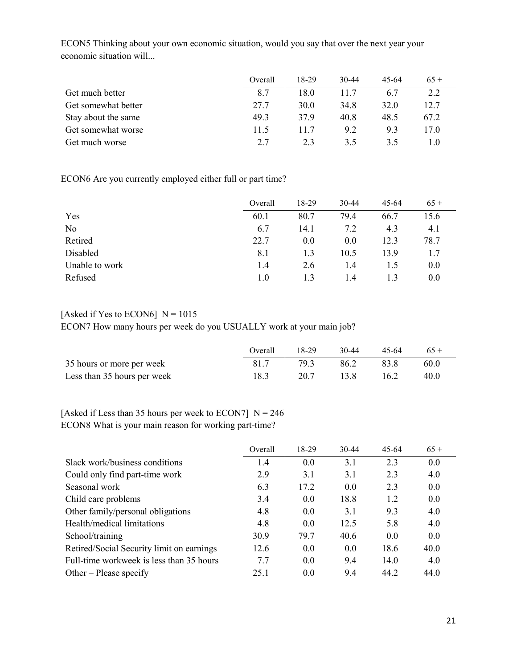|                     | Overall | 18-29 | 30-44 | 45-64 | $65+$ |
|---------------------|---------|-------|-------|-------|-------|
| Get much better     | 8.7     | 18.0  | 11.7  | 6.7   | 2.2   |
| Get somewhat better | 27.7    | 30.0  | 34.8  | 32.0  | 12.7  |
| Stay about the same | 49.3    | 37.9  | 40.8  | 48.5  | 67.2  |
| Get somewhat worse  | 11.5    | 11.7  | 9.2   | 9.3   | 17.0  |
| Get much worse      | 2.7     | 2.3   | 3.5   | 3.5   | 1.0   |

ECON5 Thinking about your own economic situation, would you say that over the next year your economic situation will...

ECON6 Are you currently employed either full or part time?

|                | Overall | 18-29 | 30-44 | 45-64 | $65+$ |
|----------------|---------|-------|-------|-------|-------|
| Yes            | 60.1    | 80.7  | 79.4  | 66.7  | 15.6  |
| N <sub>o</sub> | 6.7     | 14.1  | 7.2   | 4.3   | 4.1   |
| Retired        | 22.7    | 0.0   | 0.0   | 12.3  | 78.7  |
| Disabled       | 8.1     | 1.3   | 10.5  | 13.9  | 1.7   |
| Unable to work | 1.4     | 2.6   | 1.4   | 1.5   | 0.0   |
| Refused        | 1.0     | 1.3   | 1.4   | 1.3   | 0.0   |

#### [Asked if Yes to ECON6]  $N = 1015$

ECON7 How many hours per week do you USUALLY work at your main job?

|                             | Overall | $18-29$ | $30-44$ | 45-64 | $65+$ |
|-----------------------------|---------|---------|---------|-------|-------|
| 35 hours or more per week   | 81.7    | 79.3    | 86.2    | 83.8  | 60.0  |
| Less than 35 hours per week | 18.3    | 20.7    | 13.8    | 16.2  | 40.0  |

[Asked if Less than 35 hours per week to ECON7]  $N = 246$ ECON8 What is your main reason for working part-time?

|                                           | Overall | 18-29 | $30-44$ | $45-64$ | $65+$ |
|-------------------------------------------|---------|-------|---------|---------|-------|
| Slack work/business conditions            | 1.4     | 0.0   | 3.1     | 2.3     | 0.0   |
| Could only find part-time work            | 2.9     | 3.1   | 3.1     | 2.3     | 4.0   |
| Seasonal work                             | 6.3     | 17.2  | 0.0     | 2.3     | 0.0   |
| Child care problems                       | 3.4     | 0.0   | 18.8    | 1.2     | 0.0   |
| Other family/personal obligations         | 4.8     | 0.0   | 3.1     | 9.3     | 4.0   |
| Health/medical limitations                | 4.8     | 0.0   | 12.5    | 5.8     | 4.0   |
| School/training                           | 30.9    | 79.7  | 40.6    | 0.0     | 0.0   |
| Retired/Social Security limit on earnings | 12.6    | 0.0   | 0.0     | 18.6    | 40.0  |
| Full-time workweek is less than 35 hours  | 7.7     | 0.0   | 9.4     | 14.0    | 4.0   |
| Other – Please specify                    | 25.1    | 0.0   | 9.4     | 44.2    | 44.0  |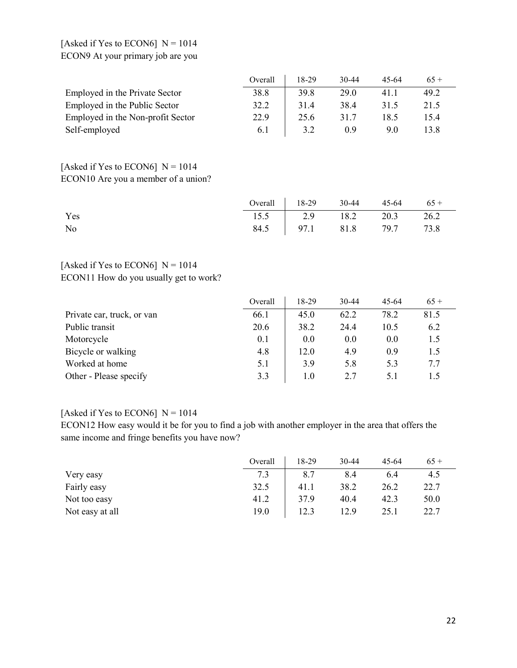### [Asked if Yes to ECON6]  $N = 1014$ ECON9 At your primary job are you

|                                   | Overall | 18-29 | $30 - 44$ | 45-64 | $65+$ |
|-----------------------------------|---------|-------|-----------|-------|-------|
| Employed in the Private Sector    | 38.8    | 39.8  | 29.0      | 41.1  | 49.2  |
| Employed in the Public Sector     | 32.2    | 31.4  | 38.4      | 31.5  | 21.5  |
| Employed in the Non-profit Sector | 22.9    | 25.6  | 31.7      | 18.5  | 15.4  |
| Self-employed                     | 6.1     | 3.2   | 0.9       | 9.0   | 13.8  |

### [Asked if Yes to ECON6]  $N = 1014$ ECON10 Are you a member of a union?

|     | Overall $\begin{array}{ l} \hline 18-29 \\ 30-44 \\ 45-64 \\ 65 +$ |  |  |
|-----|--------------------------------------------------------------------|--|--|
| Yes | 15.5 2.9 18.2 20.3 26.2                                            |  |  |
| No  | 84.5 97.1 81.8 79.7 73.8                                           |  |  |

## [Asked if Yes to ECON6]  $N = 1014$ ECON11 How do you usually get to work?

|                            | Overall | 18-29 | $30 - 44$ | $45-64$ | $65+$ |
|----------------------------|---------|-------|-----------|---------|-------|
| Private car, truck, or van | 66.1    | 45.0  | 62.2      | 78.2    | 81.5  |
| Public transit             | 20.6    | 38.2  | 24.4      | 10.5    | 6.2   |
| Motorcycle                 | 0.1     | 0.0   | 0.0       | 0.0     | 1.5   |
| Bicycle or walking         | 4.8     | 12.0  | 4.9       | 0.9     | 1.5   |
| Worked at home             | 5.1     | 3.9   | 5.8       | 5.3     | 7.7   |
| Other - Please specify     | 3.3     | 1.0   | 2.7       | 5.1     | 1.5   |

### [Asked if Yes to ECON6]  $N = 1014$

ECON12 How easy would it be for you to find a job with another employer in the area that offers the same income and fringe benefits you have now?

|                 | Overall | 18-29 | 30-44 | 45-64 | $65+$ |
|-----------------|---------|-------|-------|-------|-------|
| Very easy       | 7.3     | 8.7   | 8.4   | 6.4   | 4.5   |
| Fairly easy     | 32.5    | 41.1  | 38.2  | 26.2  | 22.7  |
| Not too easy    | 41.2    | 37.9  | 40.4  | 42.3  | 50.0  |
| Not easy at all | 19.0    | 12.3  | 12.9  | 25.1  | 22.7  |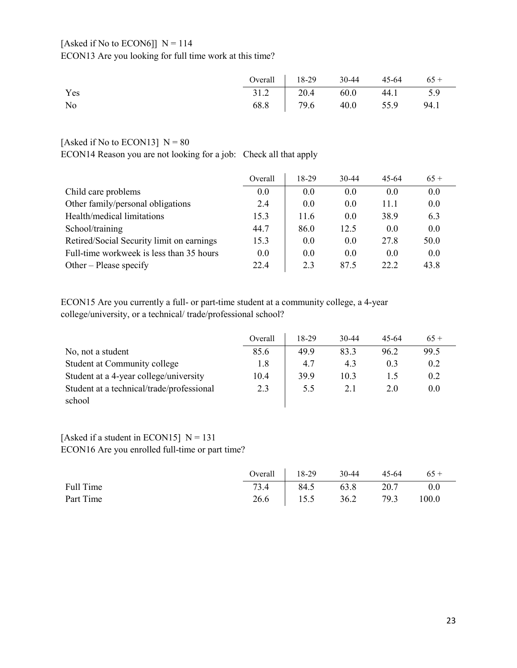### [Asked if No to ECON6]]  $N = 114$ ECON13 Are you looking for full time work at this time?

|     | Overall   $18-29$ 30-44 45-64 65 + |  |  |
|-----|------------------------------------|--|--|
| Yes | 31.2 20.4 60.0 44.1 5.9            |  |  |
| No  | 68.8 79.6 40.0 55.9 94.1           |  |  |

### [Asked if No to ECON13]  $N = 80$

ECON14 Reason you are not looking for a job: Check all that apply

|                                           | Overall | 18-29 | $30-44$ | $45 - 64$ | $65+$ |
|-------------------------------------------|---------|-------|---------|-----------|-------|
| Child care problems                       | 0.0     | 0.0   | 0.0     | 0.0       | 0.0   |
| Other family/personal obligations         | 2.4     | 0.0   | 0.0     | 11.1      | 0.0   |
| Health/medical limitations                | 15.3    | 11.6  | 0.0     | 38.9      | 6.3   |
| School/training                           | 44.7    | 86.0  | 12.5    | 0.0       | 0.0   |
| Retired/Social Security limit on earnings | 15.3    | 0.0   | 0.0     | 27.8      | 50.0  |
| Full-time workweek is less than 35 hours  | 0.0     | 0.0   | 0.0     | 0.0       | 0.0   |
| Other – Please specify                    | 22.4    | 2.3   | 87.5    | 22.2      | 43.8  |

ECON15 Are you currently a full- or part-time student at a community college, a 4-year college/university, or a technical/ trade/professional school?

|                                                     | Overall | 18-29 | 30-44 | 45-64 | $65+$ |
|-----------------------------------------------------|---------|-------|-------|-------|-------|
| No, not a student                                   | 85.6    | 49.9  | 83.3  | 96.2  | 99.5  |
| Student at Community college                        | 1.8     | 4.7   | 4.3   | 0.3   | 0.2   |
| Student at a 4-year college/university              | 10.4    | 39.9  | 10.3  |       | 0.2   |
| Student at a technical/trade/professional<br>school | 2.3     | 5.5   | 2.1   | 2.0   | 0.0   |

### [Asked if a student in ECON15]  $N = 131$ ECON16 Are you enrolled full-time or part time?

|           | Overall $18-29$ 30-44 45-64 65 + |  |  |
|-----------|----------------------------------|--|--|
| Full Time | 73.4   84.5 63.8 20.7 0.0        |  |  |
| Part Time | 26.6 15.5 36.2 79.3 100.0        |  |  |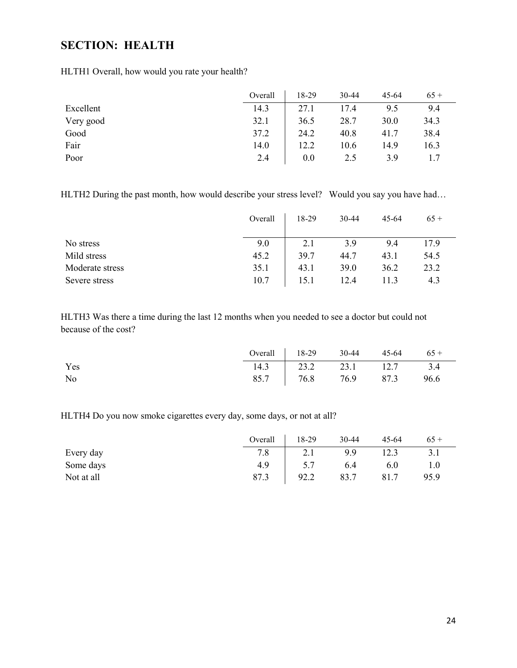# <span id="page-23-0"></span>**SECTION: HEALTH**

HLTH1 Overall, how would you rate your health?

|           | Overall | 18-29 | 30-44 | $45 - 64$ | $65+$ |
|-----------|---------|-------|-------|-----------|-------|
| Excellent | 14.3    | 27.1  | 17.4  | 9.5       | 9.4   |
| Very good | 32.1    | 36.5  | 28.7  | 30.0      | 34.3  |
| Good      | 37.2    | 24.2  | 40.8  | 41.7      | 38.4  |
| Fair      | 14.0    | 12.2  | 10.6  | 14.9      | 16.3  |
| Poor      | 2.4     | 0.0   | 2.5   | 3.9       |       |

HLTH2 During the past month, how would describe your stress level? Would you say you have had...

|                 | Overall | 18-29 | 30-44 | 45-64 | $65+$ |
|-----------------|---------|-------|-------|-------|-------|
| No stress       | 9.0     | 2.1   | 3.9   | 9.4   | 17.9  |
| Mild stress     | 45.2    | 39.7  | 44.7  | 43.1  | 54.5  |
| Moderate stress | 35.1    | 43.1  | 39.0  | 36.2  | 23.2  |
| Severe stress   | 10.7    | 15.1  | 12.4  | 11.3  | 4.3   |

HLTH3 Was there a time during the last 12 months when you needed to see a doctor but could not because of the cost?

|     | Overall $18-29$ 30-44 45-64 65 + |  |  |
|-----|----------------------------------|--|--|
| Yes | 14.3 23.2 23.1 12.7 3.4          |  |  |
| No  | 85.7   76.8 76.9 87.3 96.6       |  |  |

HLTH4 Do you now smoke cigarettes every day, some days, or not at all?

|            | Overall | 18-29 | 30-44 | $45 - 64$ | $65+$ |
|------------|---------|-------|-------|-----------|-------|
| Every day  | 7.8     | 2.1   | 9.9   | 12.3      |       |
| Some days  | 4.9     | 5.7   | 6.4   | 6.0       |       |
| Not at all | 87.3    | 92.2  | 83.7  | 81.7      | 95.9  |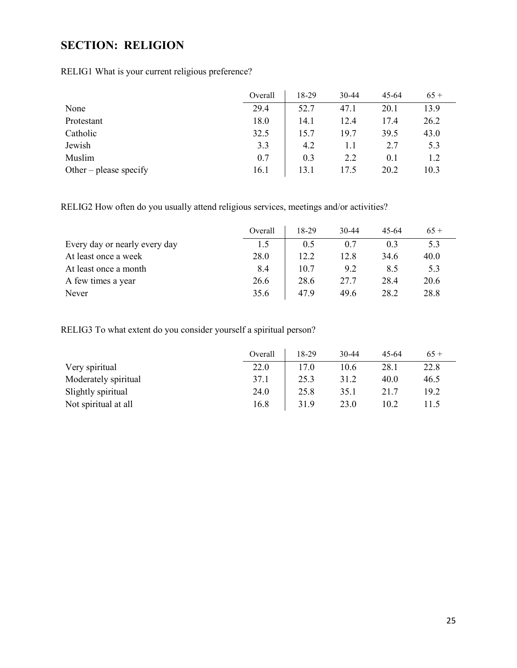# <span id="page-24-0"></span>**SECTION: RELIGION**

RELIG1 What is your current religious preference?

|                        | Overall | 18-29 | 30-44 | 45-64 | $65+$ |
|------------------------|---------|-------|-------|-------|-------|
| None                   | 29.4    | 52.7  | 47.1  | 20.1  | 13.9  |
| Protestant             | 18.0    | 14.1  | 12.4  | 17.4  | 26.2  |
| Catholic               | 32.5    | 15.7  | 19.7  | 39.5  | 43.0  |
| Jewish                 | 3.3     | 4.2   | 1.1   | 2.7   | 5.3   |
| Muslim                 | 0.7     | 0.3   | 2.2   | 0.1   | 1.2   |
| Other – please specify | 16.1    | 13.1  | 17.5  | 20.2  | 10.3  |

RELIG2 How often do you usually attend religious services, meetings and/or activities?

|                               | Overall | 18-29 | $30 - 44$ | 45-64 | $65+$ |
|-------------------------------|---------|-------|-----------|-------|-------|
| Every day or nearly every day | 1.5     | 0.5   | 0.7       | 0.3   | 5.3   |
| At least once a week          | 28.0    | 12.2  | 12.8      | 34.6  | 40.0  |
| At least once a month         | 8.4     | 10.7  | 9.2       | 8.5   | 5.3   |
| A few times a year            | 26.6    | 28.6  | 27.7      | 28.4  | 20.6  |
| Never                         | 35.6    | 47.9  | 49.6      | 28.2  | 28.8  |

RELIG3 To what extent do you consider yourself a spiritual person?

|                      | Overall | 18-29 | $30 - 44$ | 45-64 | $65+$ |
|----------------------|---------|-------|-----------|-------|-------|
| Very spiritual       | 22.0    | 17.0  | 10.6      | 28.1  | 22.8  |
| Moderately spiritual | 37.1    | 25.3  | 31.2      | 40.0  | 46.5  |
| Slightly spiritual   | 24.0    | 25.8  | 35.1      | 21.7  | 19.2  |
| Not spiritual at all | 16.8    | 31.9  | 23.0      | 10.2  | 11.5  |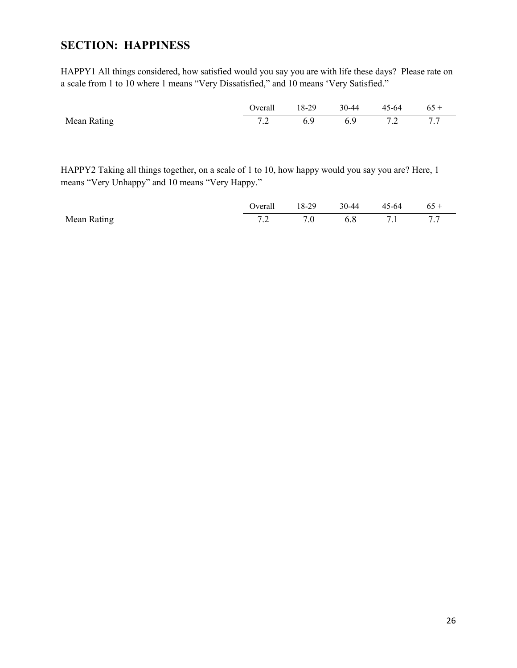## <span id="page-25-0"></span>**SECTION: HAPPINESS**

HAPPY1 All things considered, how satisfied would you say you are with life these days? Please rate on a scale from 1 to 10 where 1 means "Very Dissatisfied," and 10 means 'Very Satisfied."

|                    | Overall $18-29$ 30-44 45-64 65 + |  |  |
|--------------------|----------------------------------|--|--|
| <b>Mean Rating</b> | 7.2 (6.9 6.9 7.2 7.7             |  |  |

HAPPY2 Taking all things together, on a scale of 1 to 10, how happy would you say you are? Here, 1 means "Very Unhappy" and 10 means "Very Happy."

|             | Overal  | 18-29 | $30-44$ | 45-64     | $65+$ |
|-------------|---------|-------|---------|-----------|-------|
| Mean Rating | $\cdot$ |       | 6.8     | <b>71</b> |       |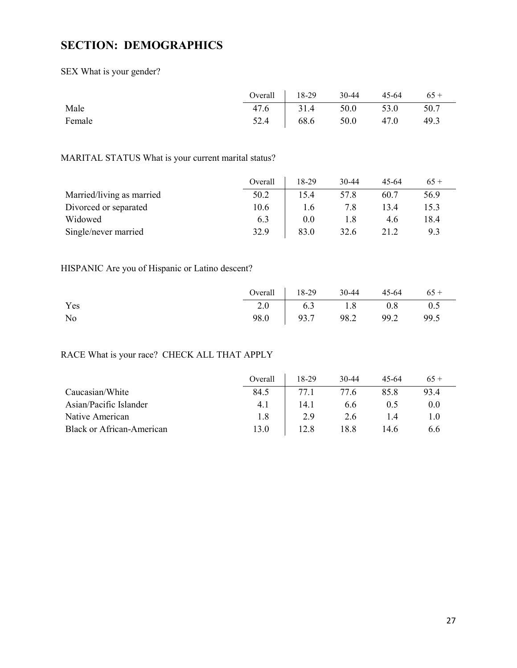# <span id="page-26-0"></span>**SECTION: DEMOGRAPHICS**

SEX What is your gender?

|        | Overall $18-29$ 30-44 45-64 65 + |  |  |
|--------|----------------------------------|--|--|
| Male   | 47.6 31.4 50.0 53.0 50.7         |  |  |
| Female | 52.4   68.6 50.0 47.0 49.3       |  |  |

## MARITAL STATUS What is your current marital status?

|                           | Overall | 18-29 | $30 - 44$ | 45-64 | $65+$ |
|---------------------------|---------|-------|-----------|-------|-------|
| Married/living as married | 50.2    | 15.4  | 57.8      | 60.7  | 56.9  |
| Divorced or separated     | 10.6    | 1.6   | 7.8       | 13.4  | 15.3  |
| Widowed                   | 6.3     | 0.0   | 1.8       | 4.6   | 18.4  |
| Single/never married      | 32.9    | 83.0  | 32.6      | 21.2  | 9.3   |

### HISPANIC Are you of Hispanic or Latino descent?

|     | Overall   $18-29$ 30-44 45-64 65 + |  |  |
|-----|------------------------------------|--|--|
| Yes | 2.0 6.3 1.8 0.8 0.5                |  |  |
| No  | 98.0 93.7 98.2 99.2 99.5           |  |  |

## RACE What is your race? CHECK ALL THAT APPLY

|                           | Overall | 18-29 | $30-44$ | 45-64 |      |
|---------------------------|---------|-------|---------|-------|------|
| Caucasian/White           | 84.5    | 77.1  | 77.6    | 85.8  | 93.4 |
| Asian/Pacific Islander    | 4.1     | 14.1  | 6.6     | 0.5   | 0.0  |
| Native American           | 1.8     | 2.9   | 2.6     |       |      |
| Black or African-American | 13.0    | 12.8  | 18.8    | 14.6  | 6.6  |